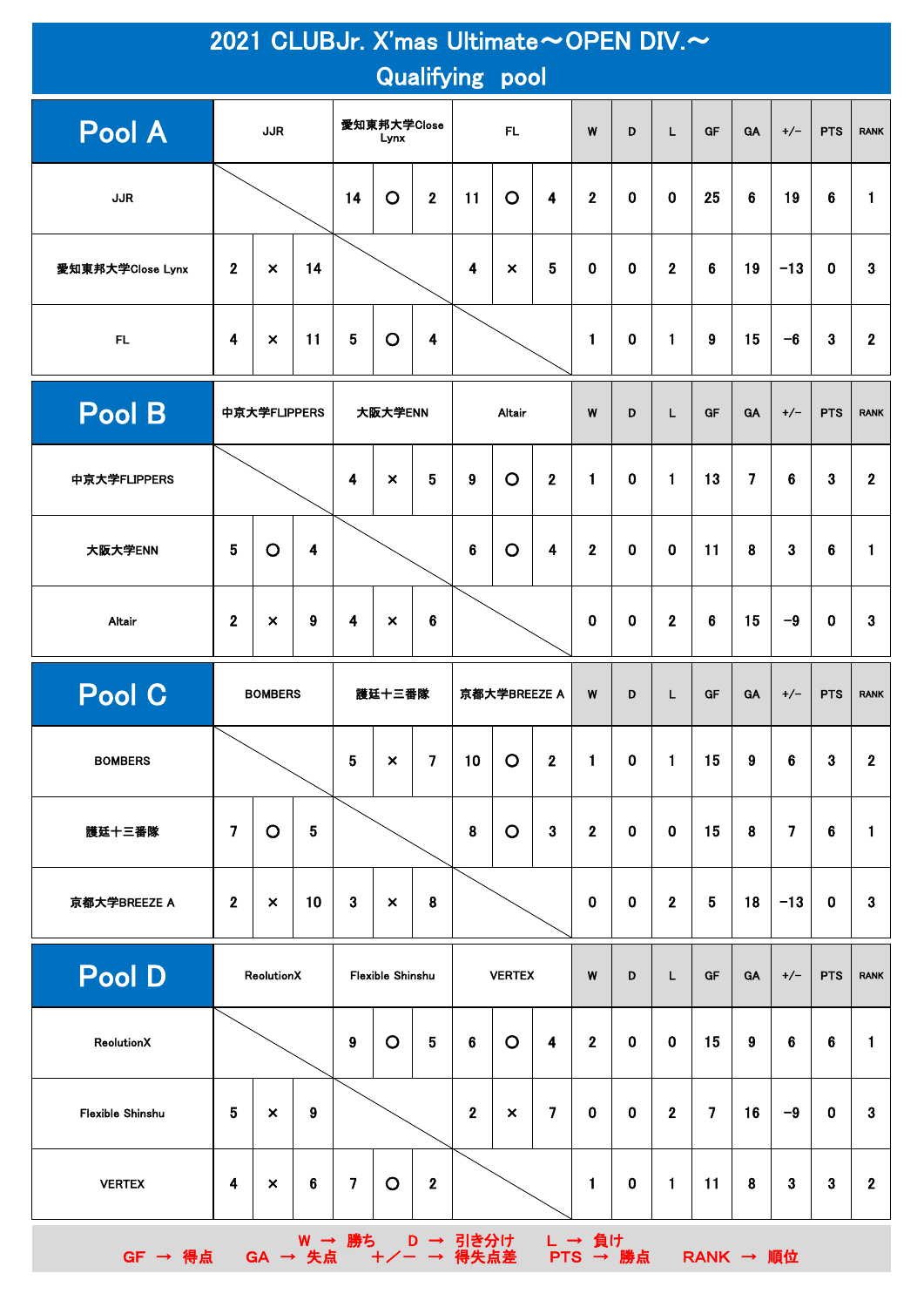| 2021 CLUBJr. X'mas Ultimate~OPEN DIV.~<br><b>Qualifying pool</b> |                  |                                 |                         |                                       |                           |                 |                         |                |                         |                |             |                |                |                |                |                |                  |
|------------------------------------------------------------------|------------------|---------------------------------|-------------------------|---------------------------------------|---------------------------|-----------------|-------------------------|----------------|-------------------------|----------------|-------------|----------------|----------------|----------------|----------------|----------------|------------------|
| Pool A                                                           |                  | <b>JJR</b>                      |                         |                                       | 愛知東邦大学Close<br>Lynx       |                 | <b>FL</b>               |                | W                       | D              | L           | GF             | GA             | $+/-$          | <b>PTS</b>     | <b>RANK</b>    |                  |
| <b>JJR</b>                                                       |                  |                                 |                         | 14                                    | $\circ$                   | $\overline{2}$  | 11                      | $\circ$        | $\overline{\mathbf{4}}$ | $\overline{2}$ | $\mathbf 0$ | $\mathbf 0$    | 25             | 6              | 19             | 6              | $\mathbf{1}$     |
| 愛知東邦大学Close Lynx                                                 | $\overline{2}$   | $\times$                        | 14                      |                                       |                           |                 | $\overline{\mathbf{4}}$ | $\pmb{\times}$ | 5                       | 0              | $\mathbf 0$ | $\overline{2}$ | 6              | 19             | $-13$          | $\mathbf 0$    | 3                |
| FL.                                                              | 4                | 11<br>$\boldsymbol{\mathsf{x}}$ |                         | 5                                     | $\circ$<br>4              |                 |                         |                |                         | 1              | $\mathbf 0$ | $\mathbf{1}$   | 9              | 15             | $-6$           | 3              | $\mathbf{2}$     |
| Pool B                                                           | 中京大学FLIPPERS     |                                 |                         |                                       | 大阪大学ENN                   |                 |                         | Altair         |                         | W              | D           | L              | <b>GF</b>      | GA             | $+/-$          | <b>PTS</b>     | <b>RANK</b>      |
| 中京大学FLIPPERS                                                     |                  |                                 |                         | 4                                     | $\boldsymbol{\mathsf{x}}$ | 5               | 9                       | $\circ$        | $\mathbf{2}$            | $\mathbf{1}$   | $\mathbf 0$ | $\blacksquare$ | 13             | $\overline{7}$ | 6              | 3              | $\overline{2}$   |
| 大阪大学ENN                                                          | $5\phantom{.0}$  | $\circ$                         | $\overline{\mathbf{4}}$ |                                       |                           |                 | $\bf 6$                 | $\circ$        | $\overline{\mathbf{4}}$ | $\mathbf 2$    | $\mathbf 0$ | $\mathbf 0$    | 11             | 8              | $\mathbf{3}$   | 6              | 1                |
| Altair                                                           | $\overline{2}$   | $\boldsymbol{\times}$           | 9                       | 4                                     | $\boldsymbol{\times}$     | $6\phantom{1}$  |                         |                |                         | 0              | $\mathbf 0$ | $\overline{2}$ | 6              | 15             | $-9$           | $\mathbf 0$    | 3                |
| Pool C                                                           |                  | <b>BOMBERS</b>                  |                         | 護廷十三番隊                                |                           |                 | 京都大学BREEZE A            |                | W                       | D              | L           | GF             | GA             | $+/-$          | <b>PTS</b>     | <b>RANK</b>    |                  |
| <b>BOMBERS</b>                                                   |                  |                                 |                         | 5<br>$\pmb{\times}$<br>$\overline{7}$ |                           |                 |                         |                | $\mathbf{1}$            | $\mathbf 0$    |             |                |                |                | $\mathbf{3}$   | $\mathbf{2}$   |                  |
|                                                                  |                  |                                 |                         |                                       |                           |                 | 10                      | $\circ$        | 2 <sup>1</sup>          |                |             | $\mathbf{1}$   | 15             | 9              | 6              |                |                  |
| 護廷十三番隊                                                           | $\overline{7}$   | $\circ$                         | $\overline{\mathbf{5}}$ |                                       |                           |                 | $\pmb{8}$               | $\circ$        | $\mathbf{3}$            | $\mathbf{2}$   | $\bf{0}$    | $\mathbf 0$    | 15             | 8              | $\overline{7}$ | $6\phantom{1}$ | $\mathbf{1}$     |
| 京都大学BREEZE A                                                     | 2 <sup>1</sup>   | $\boldsymbol{\mathsf{x}}$       | 10                      | $\mathbf{3}$                          | $\boldsymbol{\times}$     | 8               |                         |                |                         | $\mathbf 0$    | $\bf{0}$    | $\overline{2}$ | 5              | 18             | $-13$          | $\bf{0}$       | $\mathbf{3}$     |
| Pool D                                                           |                  | ReolutionX                      |                         |                                       | Flexible Shinshu          |                 |                         | <b>VERTEX</b>  |                         | W              | D           | L              | <b>GF</b>      | <b>GA</b>      | $+/-$          | <b>PTS</b>     | <b>RANK</b>      |
| ReolutionX                                                       |                  |                                 |                         | 9                                     | $\circ$                   | $5\phantom{.0}$ | $6\phantom{1}6$         | $\circ$        | $\overline{\mathbf{4}}$ | 2 <sup>1</sup> | $\mathbf 0$ | $\mathbf 0$    | 15             | 9              | 6              | 6              | $\mathbf{1}$     |
| <b>Flexible Shinshu</b>                                          | $5\phantom{.0}$  | $\boldsymbol{\mathsf{x}}$       | $\boldsymbol{9}$        |                                       |                           |                 | $\overline{2}$          | $\pmb{\times}$ | $\overline{7}$          | $\mathbf 0$    | $\mathbf 0$ | $\overline{2}$ | $\overline{7}$ | 16             | $-9$           | $\mathbf 0$    | $\mathbf{3}$     |
| <b>VERTEX</b>                                                    | $\boldsymbol{4}$ | $\pmb{\times}$                  | $\bf 6$                 | $\overline{\mathbf{z}}$               | $\circ$                   | $\mathbf 2$     |                         |                |                         | 1.             | $\bf{0}$    | $\mathbf{1}$   | 11             | 8              | $\mathbf{3}$   | 3              | $\boldsymbol{2}$ |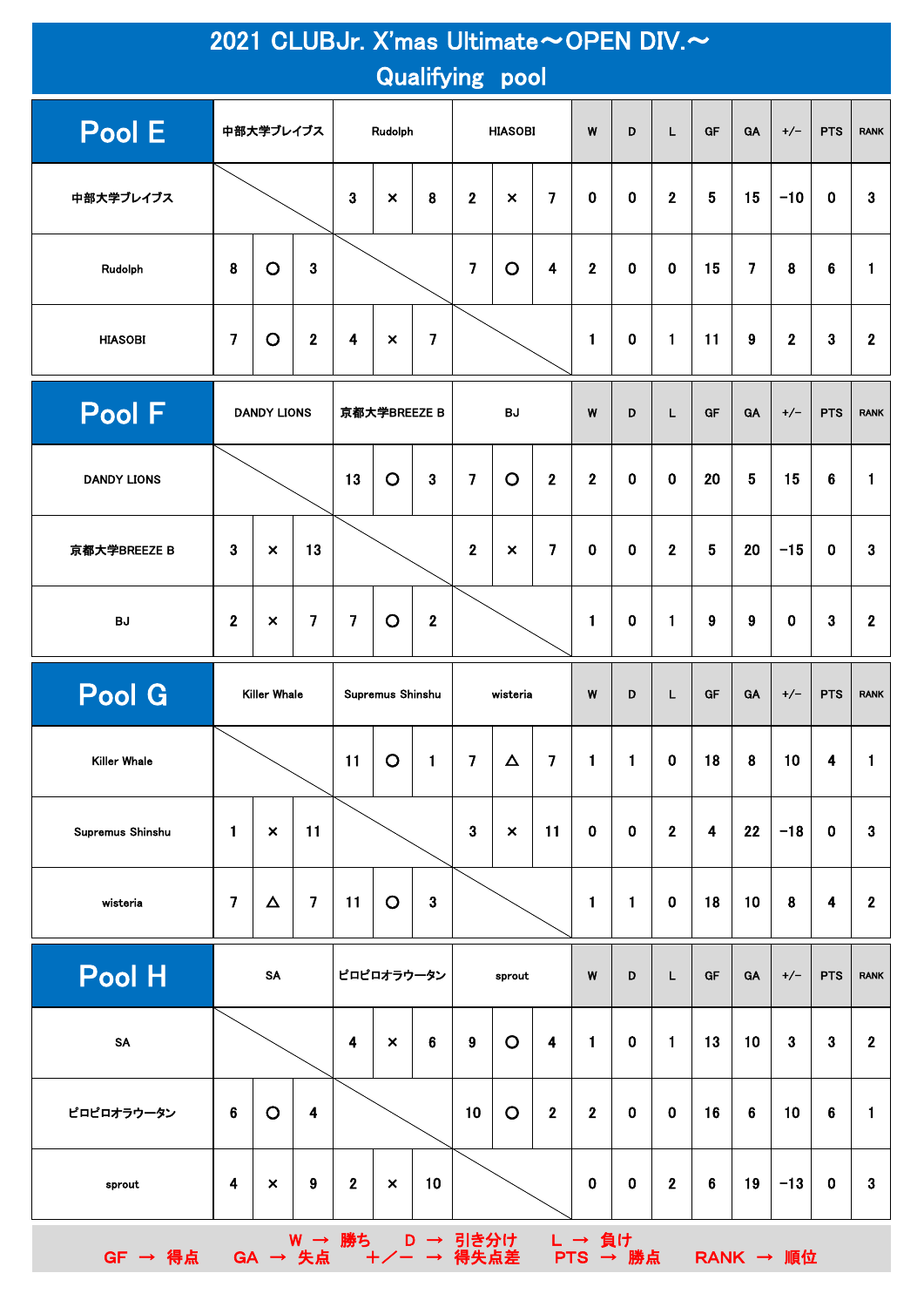| 2021 CLUBJr. X'mas Ultimate~OPEN DIV.~<br><b>Qualifying pool</b> |                         |                           |                         |                         |                           |                                       |                  |                           |                         |                    |              |                  |                         |                |                 |             |                  |
|------------------------------------------------------------------|-------------------------|---------------------------|-------------------------|-------------------------|---------------------------|---------------------------------------|------------------|---------------------------|-------------------------|--------------------|--------------|------------------|-------------------------|----------------|-----------------|-------------|------------------|
| Pool E                                                           |                         | 中部大学ブレイブス                 |                         |                         | Rudolph                   |                                       |                  | <b>HIASOBI</b>            |                         | W                  | D            | L.               | GF                      | <b>GA</b>      | $+/-$           | <b>PTS</b>  | <b>RANK</b>      |
| 中部大学ブレイブス                                                        |                         |                           |                         | 3                       | $\boldsymbol{\mathsf{x}}$ | 8                                     | $\mathbf{2}$     | $\pmb{\times}$            | $\overline{\mathbf{z}}$ | 0                  | $\mathbf 0$  | $\boldsymbol{2}$ | 5                       | 15             | $-10$           | 0           | 3                |
| Rudolph                                                          | 8                       | $\circ$                   | 3                       |                         |                           |                                       | $\overline{7}$   | $\circ$                   | 4                       | $\overline{2}$     | $\mathbf 0$  | $\mathbf 0$      | 15                      | $\overline{7}$ | 8               | 6           | 1                |
| <b>HIASOBI</b>                                                   | $\overline{7}$          | $\circ$<br>$\mathbf 2$    |                         | $\overline{\mathbf{4}}$ | $\boldsymbol{\mathsf{x}}$ | $\overline{7}$                        |                  |                           |                         | 1                  | $\bf{0}$     | $\mathbf{1}$     | 11                      | 9              | $\mathbf{2}$    | 3           | $\mathbf{2}$     |
| Pool F                                                           |                         | <b>DANDY LIONS</b>        |                         |                         | 京都大学BREEZE B              |                                       |                  | <b>BJ</b>                 |                         | W                  | D            | L                | <b>GF</b>               | <b>GA</b>      | $+/-$           | <b>PTS</b>  | <b>RANK</b>      |
| <b>DANDY LIONS</b>                                               |                         |                           |                         | 13                      | $\circ$                   | $\overline{3}$                        | $\overline{7}$   | $\circ$                   | $\overline{2}$          | $\overline{2}$     | $\mathbf 0$  | $\mathbf 0$      | 20                      | 5              | 15              | 6           | $\mathbf{1}$     |
| 京都大学BREEZE B                                                     | 3                       | $\times$                  | 13                      |                         |                           |                                       | $\mathbf 2$      | $\boldsymbol{\mathsf{x}}$ | $\overline{\mathbf{z}}$ | $\mathbf 0$        | $\mathbf 0$  | $\overline{2}$   | 5                       | 20             | $-15$           | $\mathbf 0$ | 3                |
| <b>BJ</b>                                                        | $\overline{2}$          | $\boldsymbol{\mathsf{x}}$ | $\overline{7}$          | $\overline{7}$          | $\circ$                   | $\mathbf{2}$                          |                  |                           |                         | 1                  | 0            | $\mathbf{1}$     | 9                       | 9              | $\mathbf 0$     | 3           | $\mathbf{2}$     |
| <b>Pool G</b>                                                    |                         | <b>Killer Whale</b>       |                         |                         | <b>Supremus Shinshu</b>   |                                       |                  | wisteria                  |                         | W                  | D            | L                | GF                      | <b>GA</b>      | $+/-$           | <b>PTS</b>  | <b>RANK</b>      |
| <b>Killer Whale</b>                                              |                         |                           |                         | 11                      | $\circ$                   | $\mathbf{1}$                          | $\overline{7}$   | $\Delta$                  | $\overline{7}$          | $\blacksquare$     | $\mathbf{1}$ | $\mathbf 0$      | 18                      | 8              | 10              | 4           | 1                |
| Supremus Shinshu                                                 | 1                       | $\pmb{\times}$            | 11                      |                         |                           |                                       | $\mathbf{3}$     | $\pmb{\times}$            | 11                      | 0                  | $\bf{0}$     | $\mathbf 2$      | $\overline{\mathbf{4}}$ | 22             | $-18$           | $\mathbf 0$ | 3                |
| wisteria                                                         | $\overline{7}$          | $\Delta$                  | $\overline{\mathbf{z}}$ | 11                      | $\circ$                   | $\bf{3}$                              |                  |                           |                         | 1                  | $\mathbf{1}$ | $\mathbf 0$      | 18                      | 10             | 8               | 4           | $\boldsymbol{2}$ |
| Pool H                                                           |                         | SA                        |                         |                         | ピロピロオラウータン                |                                       |                  | sprout                    |                         | W                  | D            | L                | GF                      | <b>GA</b>      | $+/-$           | <b>PTS</b>  | <b>RANK</b>      |
| SA                                                               |                         |                           |                         | $\overline{\mathbf{4}}$ | $\boldsymbol{\mathsf{x}}$ | $6\phantom{1}$                        | $\boldsymbol{9}$ | $\circ$                   | $\overline{\mathbf{4}}$ | $\mathbf{1}$       | $\mathbf 0$  | $\mathbf{1}$     | 13                      | 10             | $\mathbf{3}$    | 3           | $\mathbf{2}$     |
| ピロピロオラウータン                                                       | $6\phantom{1}$          | $\circ$                   | $\overline{\mathbf{4}}$ |                         |                           |                                       | 10 <sub>1</sub>  | $\circ$                   | $\overline{2}$          | $\overline{2}$     | $\mathbf 0$  | $\mathbf 0$      | 16                      | 6              | 10 <sub>1</sub> | 6           | 1                |
| sprout                                                           | $\overline{\mathbf{4}}$ | $\boldsymbol{\mathsf{x}}$ | $\boldsymbol{9}$        | $\mathbf{2}$            | $\boldsymbol{\mathsf{x}}$ | 10                                    |                  |                           |                         | $\mathbf 0$        | $\pmb{0}$    | $\overline{2}$   | $6\phantom{a}$          | 19             | $-13$           | $\bf{0}$    | $\mathbf{3}$     |
| $GF \rightarrow \frac{4}{10}$ 点                                  |                         | GA → 失点                   |                         |                         |                           | W → 勝ち D → 引き分け<br>· 失点 +  + / → 得失点差 |                  |                           |                         | L → 負け<br>PTS → 勝点 |              |                  |                         |                | RANK → 順位       |             |                  |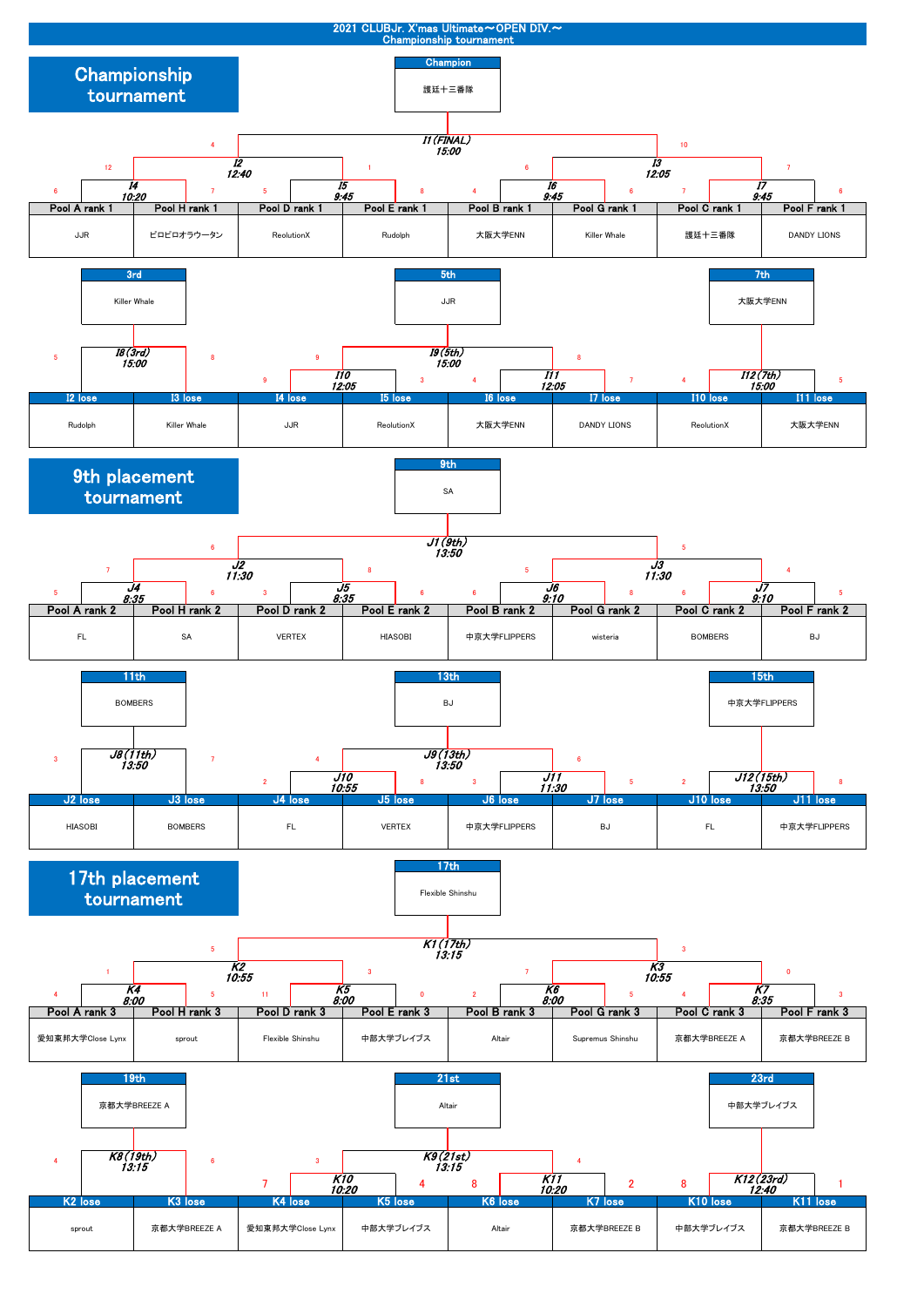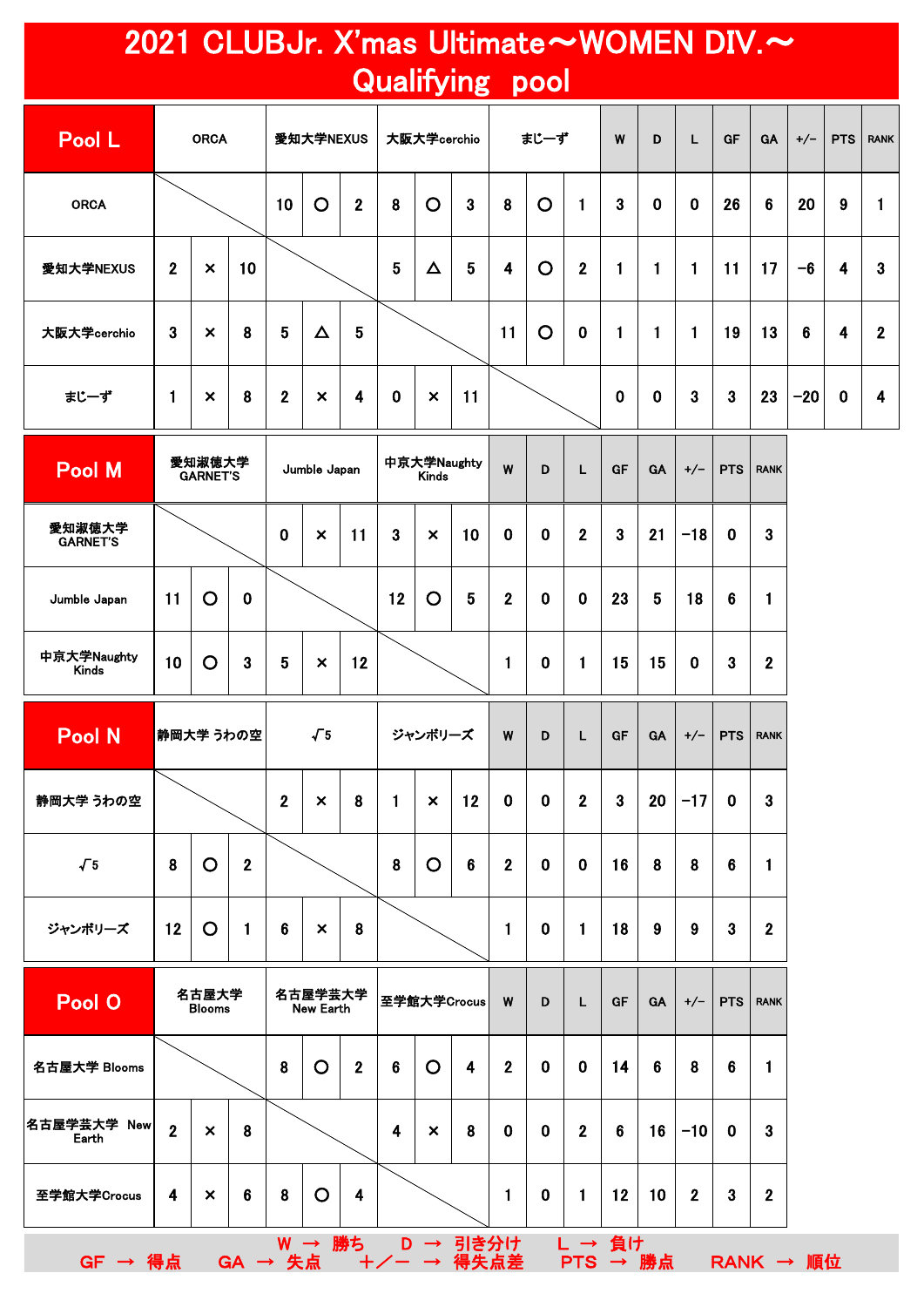## 2021 CLUBJr. X'mas Ultimate~WOMEN DIV.~ Qualifying pool

| Pool L      |                  | <b>ORCA</b>               |                 |                 | 愛知大学NEXUS                 |                         |                 | 大阪大学cerchio               |    |    | まじーず    |                  | W           | D            | L           | GF             | GA                | $+/-$ | <b>PTS</b>       | <b>RANK</b>      |
|-------------|------------------|---------------------------|-----------------|-----------------|---------------------------|-------------------------|-----------------|---------------------------|----|----|---------|------------------|-------------|--------------|-------------|----------------|-------------------|-------|------------------|------------------|
| <b>ORCA</b> |                  |                           |                 | 10              | $\mathbf O$               | $\boldsymbol{2}$        | 8               | $\circ$                   | 3  | 8  | $\circ$ | $\mathbf{1}$     | 3           | $\mathbf 0$  | $\mathbf 0$ | 26             | $6\phantom{1}$    | 20    | 9                |                  |
| 愛知大学NEXUS   | $\boldsymbol{2}$ | $\pmb{\times}$            | 10 <sub>1</sub> |                 |                           |                         | $5\phantom{.0}$ | $\Delta$                  | 5  | 4  | $\circ$ | $\boldsymbol{2}$ | -1          | 1            |             | 11             | 17                | $-6$  | $\boldsymbol{4}$ | $\mathbf{3}$     |
| 大阪大学cerchio | $\boldsymbol{3}$ | $\boldsymbol{\mathsf{x}}$ | 8               | $5\phantom{.0}$ | $\Delta$                  | 5                       |                 |                           |    | 11 | $\circ$ | $\mathbf 0$      |             | $\mathbf{1}$ |             | 19             | 13                | 6     | 4                | $\mathbf{2}$     |
| まじーず        | 1                | $\boldsymbol{\times}$     | 8               | $\mathbf{2}$    | $\boldsymbol{\mathsf{x}}$ | $\overline{\mathbf{4}}$ | $\mathbf 0$     | $\boldsymbol{\mathsf{x}}$ | 11 |    |         |                  | $\mathbf 0$ | $\mathbf 0$  | 3           | $\overline{3}$ | 23                | $-20$ | $\mathbf 0$      | $\boldsymbol{4}$ |
| Pool M      |                  | 愛知淑徳大学<br><b>GARNET'S</b> |                 |                 | Jumble Japan              |                         |                 | 中京大学Naughty<br>Kinde      |    | W  | D       | L                | GF          | GA           | $+/-$       |                | <b>PTS</b>   RANK |       |                  |                  |

| <b>Pool M</b>               |    | 愛知淑徳大学<br><b>GARNET'S</b> |              |                | Jumble Japan              |    | 中京大学Naughty<br><b>Kinds</b> |                           |                | W              | D           | L              | <b>GF</b> | <b>GA</b> | $+/-$       | <b>PTS</b>     | <b>RANK</b>      |
|-----------------------------|----|---------------------------|--------------|----------------|---------------------------|----|-----------------------------|---------------------------|----------------|----------------|-------------|----------------|-----------|-----------|-------------|----------------|------------------|
| 愛知淑徳大学<br><b>GARNET'S</b>   |    |                           |              | $\mathbf 0$    | $\boldsymbol{\mathsf{x}}$ | 11 | $\mathbf{3}$                | $\boldsymbol{\mathsf{x}}$ | 10             | $\mathbf 0$    | $\mathbf 0$ | $\mathbf{2}$   | 3         | 21        | $-18$       | $\bf{0}$       | $\mathbf{3}$     |
| Jumble Japan                | 11 | $\overline{O}$            | $\bf{0}$     |                |                           |    | 12                          | O                         | 5              | $\mathbf{2}$   | $\mathbf 0$ | $\bf{0}$       | 23        | 5         | 18          | $6\phantom{1}$ | 1                |
| 中京大学Naughty<br><b>Kinds</b> | 10 | $\circ$                   | $\mathbf{3}$ | 5              | $\boldsymbol{\mathsf{x}}$ | 12 |                             |                           |                | $\blacksquare$ | $\mathbf 0$ | $\mathbf{1}$   | 15        | 15        | $\mathbf 0$ | 3              | $\boldsymbol{2}$ |
|                             |    |                           |              |                |                           |    |                             |                           |                |                |             |                |           |           |             |                |                  |
| <b>Pool N</b>               |    | 静岡大学 うわの空                 |              |                | $\sqrt{5}$                |    |                             | ジャンボリーズ                   |                | W              | D           | L              | <b>GF</b> | <b>GA</b> | $+/-$       | <b>PTS</b>     | <b>RANK</b>      |
| 静岡大学 うわの空                   |    |                           |              | $\overline{2}$ | $\boldsymbol{\mathsf{x}}$ | 8  | 1                           | $\times$                  | 12             | $\mathbf 0$    | $\mathbf 0$ | $\overline{2}$ | 3         | 20        | $-17$       | $\bf{0}$       | 3                |
| $\sqrt{5}$                  | 8  | $\overline{O}$            | $\mathbf{2}$ |                |                           |    | 8                           | $\overline{O}$            | $6\phantom{1}$ | $\mathbf{2}$   | $\mathbf 0$ | $\mathbf 0$    | 16        | 8         | 8           | 6              | 1                |

| <b>Pool O</b>            | 名古屋大学<br><b>Blooms</b> |                           |   | 名古屋学芸大学<br>New Earth |   |                  | 至学館大学Crocus |   |      | W            | D           | L            | GF | <b>GA</b> | $+/-$        | <b>PTS</b> | <b>RANK</b>    |
|--------------------------|------------------------|---------------------------|---|----------------------|---|------------------|-------------|---|------|--------------|-------------|--------------|----|-----------|--------------|------------|----------------|
| 名古屋大学 Blooms             |                        |                           |   | 8                    | O | $\boldsymbol{2}$ | 6           | O | 4    | $\mathbf{2}$ | $\mathbf 0$ | $\mathbf 0$  | 14 | 6         | 8            | 6          | 1              |
| 名古屋学芸大学<br>New∥<br>Earth | $\overline{2}$         | $\boldsymbol{\mathsf{x}}$ | 8 |                      |   |                  | 4           | × | 8    | $\mathbf 0$  | $\bf{0}$    | $\mathbf{2}$ | 6  | 16        | $-10$        | 0          | 3              |
| 至学館大学Crocus              | 4                      | $\boldsymbol{\mathsf{x}}$ | 6 | 8                    | O | 4                |             |   |      | 1            | $\bf{0}$    | 1            | 12 | 10        | $\mathbf{2}$ | 3          | $\overline{2}$ |
|                          |                        |                           |   | W                    |   | 勝ち               | D           | → | 引き分け |              |             |              | 負け |           |              |            |                |

GF → 得点 GA → 失点 +/- → 得失点差 PTS → 勝点 RANK → 順位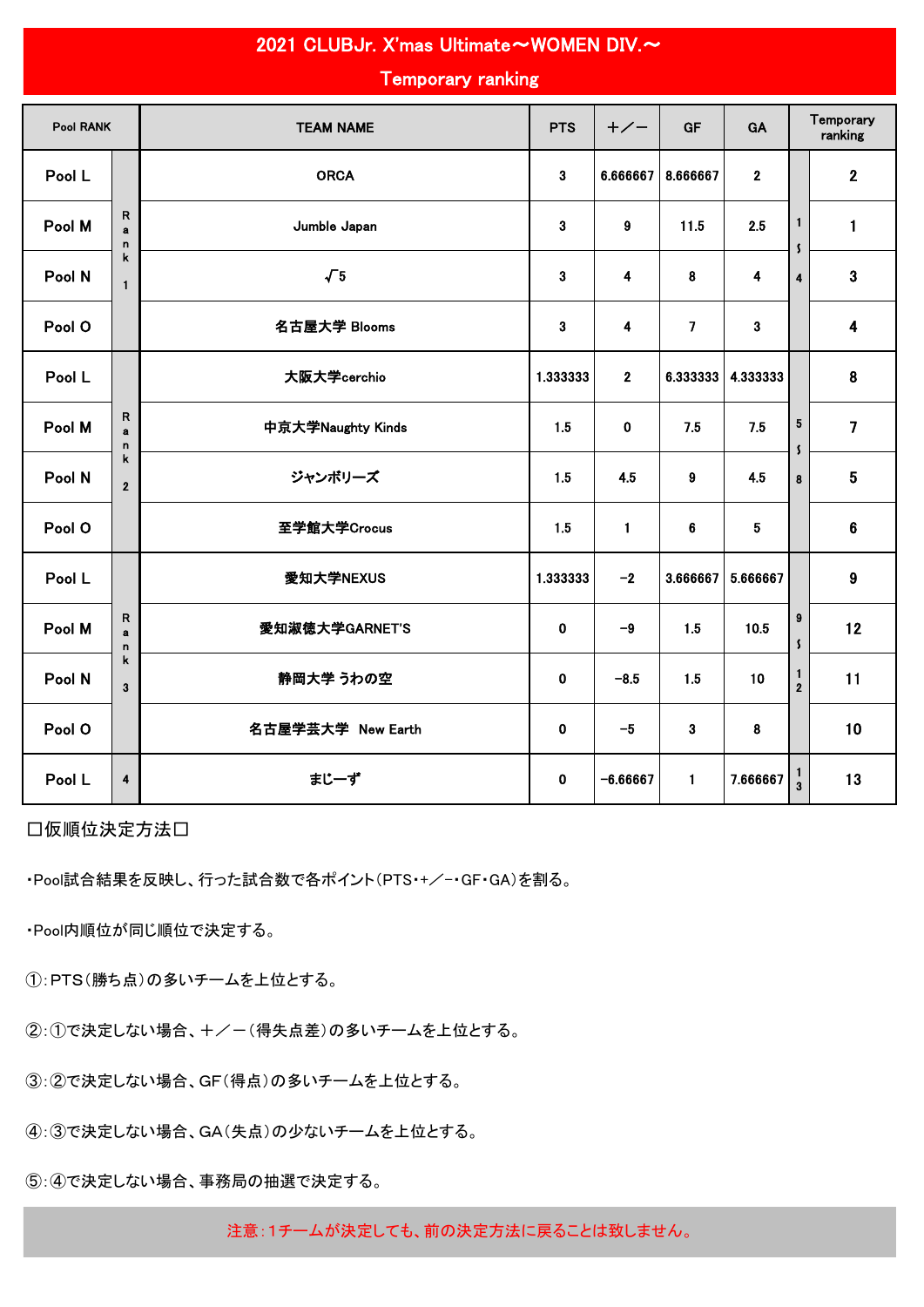| <b>Temporary ranking</b> |                                               |                   |             |                |                         |              |                                        |                         |  |
|--------------------------|-----------------------------------------------|-------------------|-------------|----------------|-------------------------|--------------|----------------------------------------|-------------------------|--|
| <b>Pool RANK</b>         |                                               | <b>TEAM NAME</b>  | <b>PTS</b>  | $+/-$          | <b>GF</b>               | GA           |                                        | Temporary<br>ranking    |  |
| Pool L                   |                                               | <b>ORCA</b>       | 3           | 6.666667       | 8.666667                | $\mathbf{2}$ |                                        | $\mathbf{2}$            |  |
| Pool M                   | $\mathsf{R}$<br>$\mathbf{a}$<br>n             | Jumble Japan      | 3           | 9              | 11.5                    | 2.5          | $\mathbf{1}$<br>$\mathsf{\mathcal{S}}$ | 1                       |  |
| Pool N                   | k<br>$\mathbf{1}$                             | $\sqrt{5}$        | 3           | 4              | 8                       | 4            | $\overline{\mathbf{4}}$                | 3                       |  |
| Pool O                   |                                               | 名古屋大学 Blooms      | 3           | 4              | $\overline{\mathbf{z}}$ | 3            |                                        | $\overline{\mathbf{4}}$ |  |
| Pool L                   |                                               | 大阪大学cerchio       | 1.333333    | $\overline{2}$ | 6.333333                | 4.333333     |                                        | 8                       |  |
| Pool M                   | $\mathsf R$<br>$\mathbf{a}$<br>n.             | 中京大学Naughty Kinds | 1.5         | $\mathbf{0}$   | 7.5                     | 7.5          | ${\bf 5}$<br>$\mathsf{\mathsf{S}}$     | $\overline{7}$          |  |
| Pool N                   | $\mathbf k$<br>$\overline{2}$                 | ジャンボリーズ           | 1.5         | 4.5            | $\boldsymbol{9}$        | 4.5          | 8                                      | $5\phantom{.0}$         |  |
| Pool O                   |                                               | 至学館大学Crocus       | 1.5         | $\mathbf{1}$   | 6                       | 5            |                                        | 6                       |  |
| Pool L                   |                                               | 愛知大学NEXUS         | 1.333333    | $-2$           | 3.666667                | 5.666667     |                                        | 9                       |  |
| Pool M                   | $\mathsf R$<br>a<br>$\mathbf n$               | 愛知淑徳大学GARNET'S    | 0           | $-9$           | 1.5                     | 10.5         | $\boldsymbol{9}$<br>$\mathbf{S}$       | 12                      |  |
| Pool N                   | $\mathsf k$<br>$\overline{\mathbf{3}}$        | 静岡大学 うわの空         | 0           | $-8.5$         | 1.5                     | 10           | 1<br>$\overline{2}$                    | 11                      |  |
| Pool O                   | 名古屋学芸大学 New Earth<br>$\mathbf 0$<br>$-5$<br>3 |                   |             |                |                         |              |                                        | 10                      |  |
| Pool L                   | $\overline{\mathbf{4}}$                       | まじーず              | $\mathbf 0$ | $-6.66667$     | $\mathbf{1}$            | 7.666667     | $\frac{1}{3}$                          | 13                      |  |

2021 CLUBJr. X'mas Ultimate~WOMEN DIV.~

□仮順位決定方法□

・Pool試合結果を反映し、行った試合数で各ポイント(PTS・+/-GF・GA)を割る。

・Pool内順位が同じ順位で決定する。

①:PTS(勝ち点)の多いチームを上位とする。

②:①で決定しない場合、+/-(得失点差)の多いチームを上位とする。

③:②で決定しない場合、GF(得点)の多いチームを上位とする。

④:③で決定しない場合、GA(失点)の少ないチームを上位とする。

⑤:④で決定しない場合、事務局の抽選で決定する。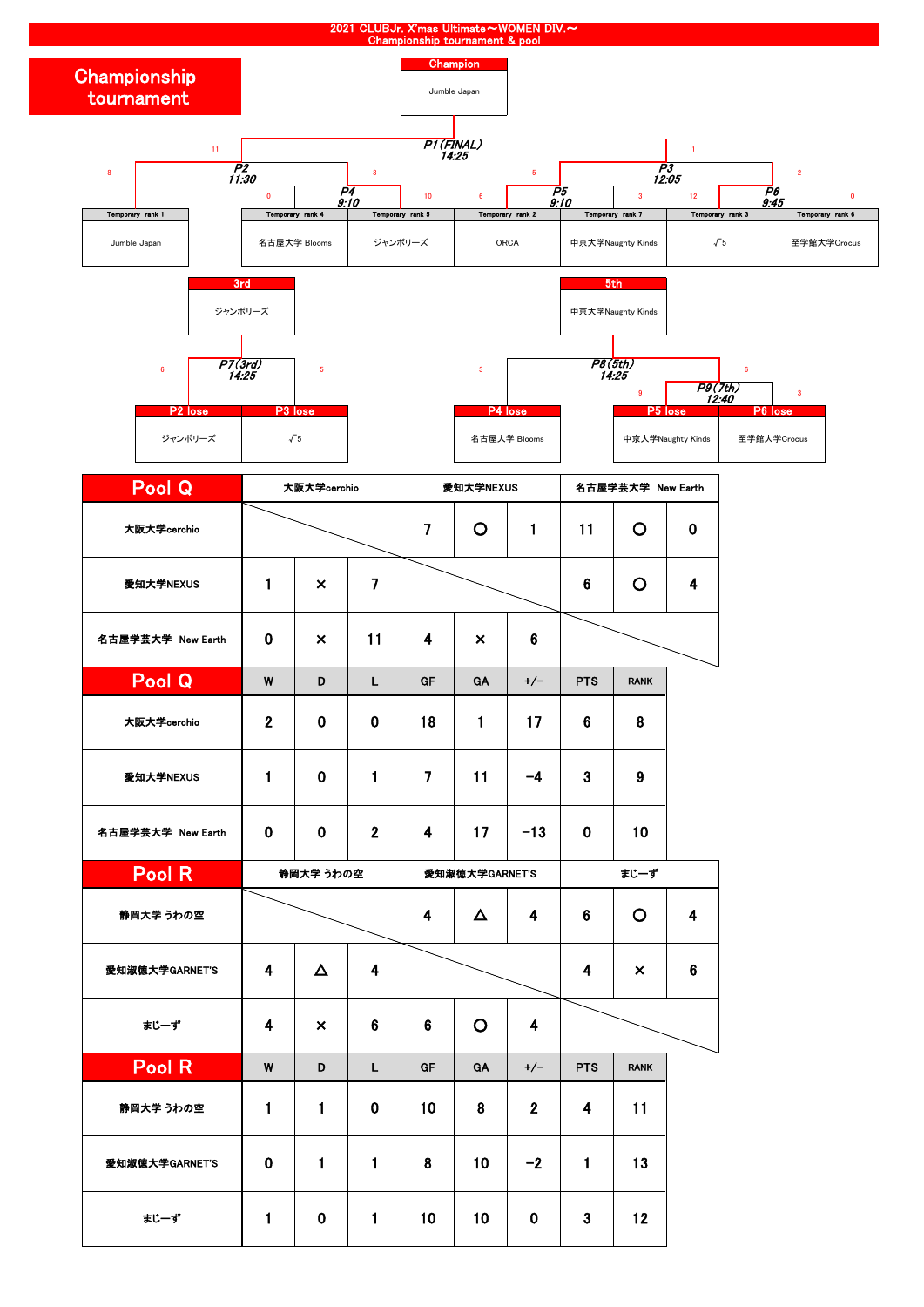